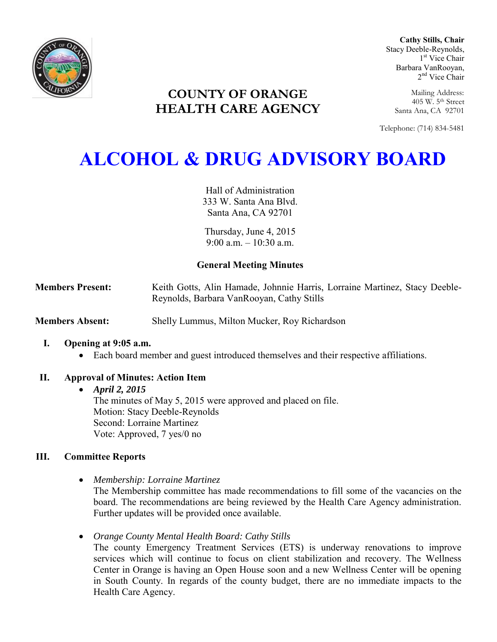

**Cathy Stills, Chair** Stacy Deeble-Reynolds, 1 st Vice Chair Barbara VanRooyan, 2<sup>nd</sup> Vice Chair

Mailing Address: 405 W. 5th Street Santa Ana, CA 92701

Telephone: (714) 834-5481

# **COUNTY OF ORANGE HEALTH CARE AGENCY**

# **ALCOHOL & DRUG ADVISORY BOARD**

Hall of Administration 333 W. Santa Ana Blvd. Santa Ana, CA 92701

Thursday, June 4, 2015  $9.00 a m - 10.30 a m$ 

# **General Meeting Minutes**

**Members Present:** Keith Gotts, Alin Hamade, Johnnie Harris, Lorraine Martinez, Stacy Deeble-Reynolds, Barbara VanRooyan, Cathy Stills

**Members Absent:** Shelly Lummus, Milton Mucker, Roy Richardson

# **I. Opening at 9:05 a.m.**

Each board member and guest introduced themselves and their respective affiliations.

# **II. Approval of Minutes: Action Item**

# *April 2, 2015*

The minutes of May 5, 2015 were approved and placed on file. Motion: Stacy Deeble-Reynolds Second: Lorraine Martinez Vote: Approved, 7 yes/0 no

# **III. Committee Reports**

*Membership: Lorraine Martinez* 

The Membership committee has made recommendations to fill some of the vacancies on the board. The recommendations are being reviewed by the Health Care Agency administration. Further updates will be provided once available.

*Orange County Mental Health Board: Cathy Stills* 

The county Emergency Treatment Services (ETS) is underway renovations to improve services which will continue to focus on client stabilization and recovery. The Wellness Center in Orange is having an Open House soon and a new Wellness Center will be opening in South County. In regards of the county budget, there are no immediate impacts to the Health Care Agency.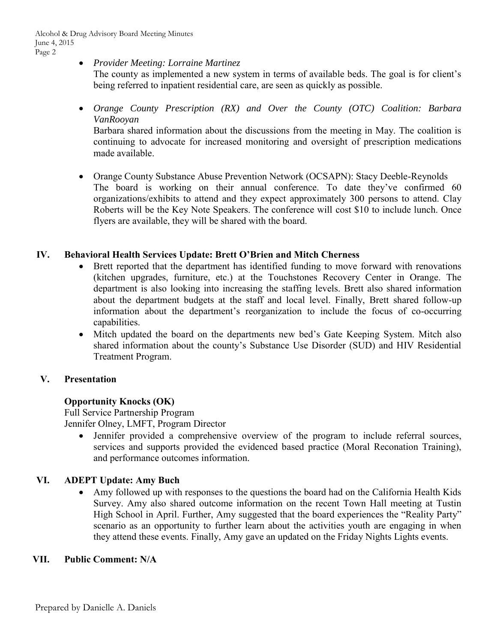*Provider Meeting: Lorraine Martinez* 

The county as implemented a new system in terms of available beds. The goal is for client's being referred to inpatient residential care, are seen as quickly as possible.

 *Orange County Prescription (RX) and Over the County (OTC) Coalition: Barbara VanRooyan* 

Barbara shared information about the discussions from the meeting in May. The coalition is continuing to advocate for increased monitoring and oversight of prescription medications made available.

• Orange County Substance Abuse Prevention Network (OCSAPN): Stacy Deeble-Reynolds The board is working on their annual conference. To date they've confirmed 60 organizations/exhibits to attend and they expect approximately 300 persons to attend. Clay Roberts will be the Key Note Speakers. The conference will cost \$10 to include lunch. Once flyers are available, they will be shared with the board.

#### **IV. Behavioral Health Services Update: Brett O'Brien and Mitch Cherness**

- Brett reported that the department has identified funding to move forward with renovations (kitchen upgrades, furniture, etc.) at the Touchstones Recovery Center in Orange. The department is also looking into increasing the staffing levels. Brett also shared information about the department budgets at the staff and local level. Finally, Brett shared follow-up information about the department's reorganization to include the focus of co-occurring capabilities.
- Mitch updated the board on the departments new bed's Gate Keeping System. Mitch also shared information about the county's Substance Use Disorder (SUD) and HIV Residential Treatment Program.

# **V. Presentation**

# **Opportunity Knocks (OK)**

Full Service Partnership Program Jennifer Olney, LMFT, Program Director

 Jennifer provided a comprehensive overview of the program to include referral sources, services and supports provided the evidenced based practice (Moral Reconation Training), and performance outcomes information.

# **VI. ADEPT Update: Amy Buch**

 Amy followed up with responses to the questions the board had on the California Health Kids Survey. Amy also shared outcome information on the recent Town Hall meeting at Tustin High School in April. Further, Amy suggested that the board experiences the "Reality Party" scenario as an opportunity to further learn about the activities youth are engaging in when they attend these events. Finally, Amy gave an updated on the Friday Nights Lights events.

#### **VII. Public Comment: N/A**